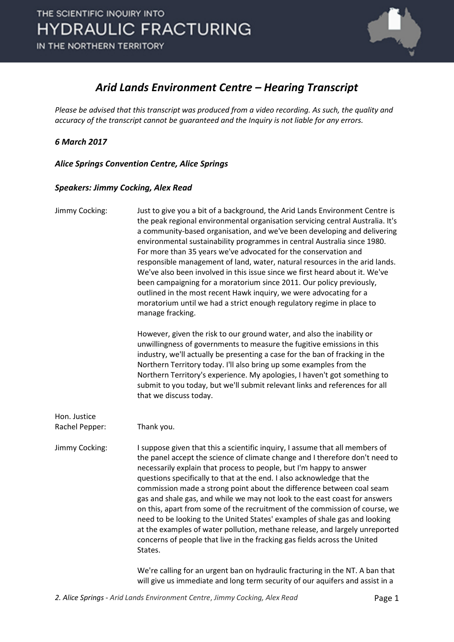

### *Arid Lands Environment Centre – Hearing Transcript*

*Please be advised that this transcript was produced from a video recording. As such, the quality and accuracy of the transcript cannot be guaranteed and the Inquiry is not liable for any errors.*

*6 March 2017* 

*Alice Springs Convention Centre, Alice Springs* 

#### *Speakers: Jimmy Cocking, Alex Read*

| Jimmy Cocking:                 | Just to give you a bit of a background, the Arid Lands Environment Centre is<br>the peak regional environmental organisation servicing central Australia. It's<br>a community-based organisation, and we've been developing and delivering<br>environmental sustainability programmes in central Australia since 1980.<br>For more than 35 years we've advocated for the conservation and<br>responsible management of land, water, natural resources in the arid lands.<br>We've also been involved in this issue since we first heard about it. We've<br>been campaigning for a moratorium since 2011. Our policy previously,<br>outlined in the most recent Hawk inquiry, we were advocating for a<br>moratorium until we had a strict enough regulatory regime in place to<br>manage fracking.       |
|--------------------------------|----------------------------------------------------------------------------------------------------------------------------------------------------------------------------------------------------------------------------------------------------------------------------------------------------------------------------------------------------------------------------------------------------------------------------------------------------------------------------------------------------------------------------------------------------------------------------------------------------------------------------------------------------------------------------------------------------------------------------------------------------------------------------------------------------------|
|                                | However, given the risk to our ground water, and also the inability or<br>unwillingness of governments to measure the fugitive emissions in this<br>industry, we'll actually be presenting a case for the ban of fracking in the<br>Northern Territory today. I'll also bring up some examples from the<br>Northern Territory's experience. My apologies, I haven't got something to<br>submit to you today, but we'll submit relevant links and references for all<br>that we discuss today.                                                                                                                                                                                                                                                                                                            |
| Hon. Justice<br>Rachel Pepper: | Thank you.                                                                                                                                                                                                                                                                                                                                                                                                                                                                                                                                                                                                                                                                                                                                                                                               |
| Jimmy Cocking:                 | I suppose given that this a scientific inquiry, I assume that all members of<br>the panel accept the science of climate change and I therefore don't need to<br>necessarily explain that process to people, but I'm happy to answer<br>questions specifically to that at the end. I also acknowledge that the<br>commission made a strong point about the difference between coal seam<br>gas and shale gas, and while we may not look to the east coast for answers<br>on this, apart from some of the recruitment of the commission of course, we<br>need to be looking to the United States' examples of shale gas and looking<br>at the examples of water pollution, methane release, and largely unreported<br>concerns of people that live in the fracking gas fields across the United<br>States. |
|                                | We're calling for an urgent ban on hydraulic fracturing in the NT. A ban that<br>will give us immediate and long term security of our aquifers and assist in a                                                                                                                                                                                                                                                                                                                                                                                                                                                                                                                                                                                                                                           |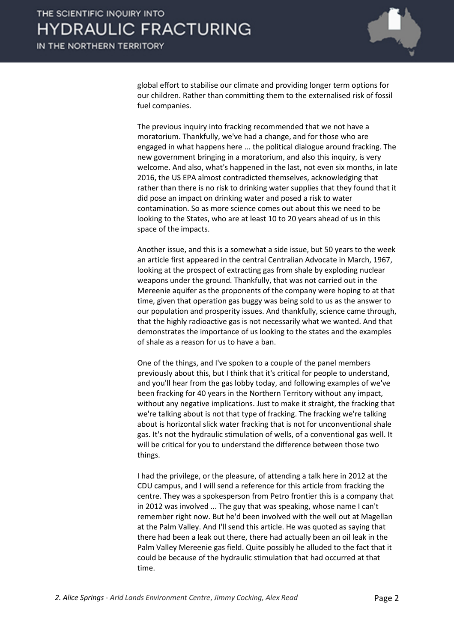

global effort to stabilise our climate and providing longer term options for our children. Rather than committing them to the externalised risk of fossil fuel companies.

The previous inquiry into fracking recommended that we not have a moratorium. Thankfully, we've had a change, and for those who are engaged in what happens here ... the political dialogue around fracking. The new government bringing in a moratorium, and also this inquiry, is very welcome. And also, what's happened in the last, not even six months, in late 2016, the US EPA almost contradicted themselves, acknowledging that rather than there is no risk to drinking water supplies that they found that it did pose an impact on drinking water and posed a risk to water contamination. So as more science comes out about this we need to be looking to the States, who are at least 10 to 20 years ahead of us in this space of the impacts.

Another issue, and this is a somewhat a side issue, but 50 years to the week an article first appeared in the central Centralian Advocate in March, 1967, looking at the prospect of extracting gas from shale by exploding nuclear weapons under the ground. Thankfully, that was not carried out in the Mereenie aquifer as the proponents of the company were hoping to at that time, given that operation gas buggy was being sold to us as the answer to our population and prosperity issues. And thankfully, science came through, that the highly radioactive gas is not necessarily what we wanted. And that demonstrates the importance of us looking to the states and the examples of shale as a reason for us to have a ban.

One of the things, and I've spoken to a couple of the panel members previously about this, but I think that it's critical for people to understand, and you'll hear from the gas lobby today, and following examples of we've been fracking for 40 years in the Northern Territory without any impact, without any negative implications. Just to make it straight, the fracking that we're talking about is not that type of fracking. The fracking we're talking about is horizontal slick water fracking that is not for unconventional shale gas. It's not the hydraulic stimulation of wells, of a conventional gas well. It will be critical for you to understand the difference between those two things.

I had the privilege, or the pleasure, of attending a talk here in 2012 at the CDU campus, and I will send a reference for this article from fracking the centre. They was a spokesperson from Petro frontier this is a company that in 2012 was involved ... The guy that was speaking, whose name I can't remember right now. But he'd been involved with the well out at Magellan at the Palm Valley. And I'll send this article. He was quoted as saying that there had been a leak out there, there had actually been an oil leak in the Palm Valley Mereenie gas field. Quite possibly he alluded to the fact that it could be because of the hydraulic stimulation that had occurred at that time.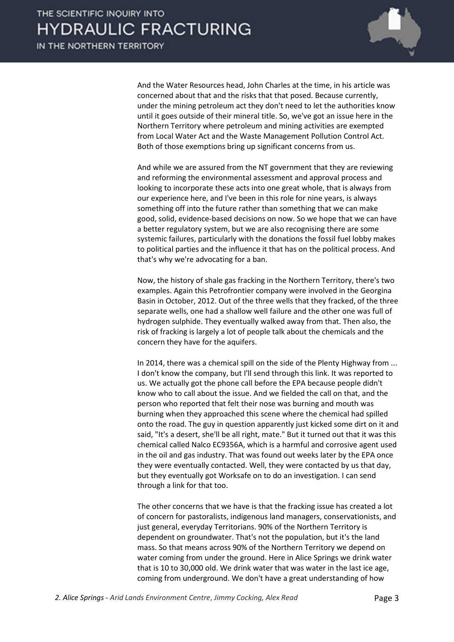

And the Water Resources head, John Charles at the time, in his article was concerned about that and the risks that that posed. Because currently, under the mining petroleum act they don't need to let the authorities know until it goes outside of their mineral title. So, we've got an issue here in the Northern Territory where petroleum and mining activities are exempted from Local Water Act and the Waste Management Pollution Control Act. Both of those exemptions bring up significant concerns from us.

And while we are assured from the NT government that they are reviewing and reforming the environmental assessment and approval process and looking to incorporate these acts into one great whole, that is always from our experience here, and I've been in this role for nine years, is always something off into the future rather than something that we can make good, solid, evidence-based decisions on now. So we hope that we can have a better regulatory system, but we are also recognising there are some systemic failures, particularly with the donations the fossil fuel lobby makes to political parties and the influence it that has on the political process. And that's why we're advocating for a ban.

Now, the history of shale gas fracking in the Northern Territory, there's two examples. Again this Petrofrontier company were involved in the Georgina Basin in October, 2012. Out of the three wells that they fracked, of the three separate wells, one had a shallow well failure and the other one was full of hydrogen sulphide. They eventually walked away from that. Then also, the risk of fracking is largely a lot of people talk about the chemicals and the concern they have for the aquifers.

In 2014, there was a chemical spill on the side of the Plenty Highway from ... I don't know the company, but I'll send through this link. It was reported to us. We actually got the phone call before the EPA because people didn't know who to call about the issue. And we fielded the call on that, and the person who reported that felt their nose was burning and mouth was burning when they approached this scene where the chemical had spilled onto the road. The guy in question apparently just kicked some dirt on it and said, "It's a desert, she'll be all right, mate." But it turned out that it was this chemical called Nalco EC9356A, which is a harmful and corrosive agent used in the oil and gas industry. That was found out weeks later by the EPA once they were eventually contacted. Well, they were contacted by us that day, but they eventually got Worksafe on to do an investigation. I can send through a link for that too.

The other concerns that we have is that the fracking issue has created a lot of concern for pastoralists, indigenous land managers, conservationists, and just general, everyday Territorians. 90% of the Northern Territory is dependent on groundwater. That's not the population, but it's the land mass. So that means across 90% of the Northern Territory we depend on water coming from under the ground. Here in Alice Springs we drink water that is 10 to 30,000 old. We drink water that was water in the last ice age, coming from underground. We don't have a great understanding of how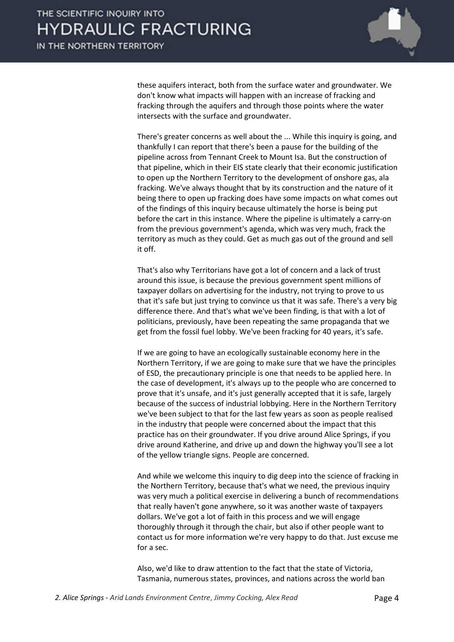

these aquifers interact, both from the surface water and groundwater. We don't know what impacts will happen with an increase of fracking and fracking through the aquifers and through those points where the water intersects with the surface and groundwater.

There's greater concerns as well about the ... While this inquiry is going, and thankfully I can report that there's been a pause for the building of the pipeline across from Tennant Creek to Mount Isa. But the construction of that pipeline, which in their EIS state clearly that their economic justification to open up the Northern Territory to the development of onshore gas, ala fracking. We've always thought that by its construction and the nature of it being there to open up fracking does have some impacts on what comes out of the findings of this inquiry because ultimately the horse is being put before the cart in this instance. Where the pipeline is ultimately a carry-on from the previous government's agenda, which was very much, frack the territory as much as they could. Get as much gas out of the ground and sell it off.

That's also why Territorians have got a lot of concern and a lack of trust around this issue, is because the previous government spent millions of taxpayer dollars on advertising for the industry, not trying to prove to us that it's safe but just trying to convince us that it was safe. There's a very big difference there. And that's what we've been finding, is that with a lot of politicians, previously, have been repeating the same propaganda that we get from the fossil fuel lobby. We've been fracking for 40 years, it's safe.

If we are going to have an ecologically sustainable economy here in the Northern Territory, if we are going to make sure that we have the principles of ESD, the precautionary principle is one that needs to be applied here. In the case of development, it's always up to the people who are concerned to prove that it's unsafe, and it's just generally accepted that it is safe, largely because of the success of industrial lobbying. Here in the Northern Territory we've been subject to that for the last few years as soon as people realised in the industry that people were concerned about the impact that this practice has on their groundwater. If you drive around Alice Springs, if you drive around Katherine, and drive up and down the highway you'll see a lot of the yellow triangle signs. People are concerned.

And while we welcome this inquiry to dig deep into the science of fracking in the Northern Territory, because that's what we need, the previous inquiry was very much a political exercise in delivering a bunch of recommendations that really haven't gone anywhere, so it was another waste of taxpayers dollars. We've got a lot of faith in this process and we will engage thoroughly through it through the chair, but also if other people want to contact us for more information we're very happy to do that. Just excuse me for a sec.

Also, we'd like to draw attention to the fact that the state of Victoria, Tasmania, numerous states, provinces, and nations across the world ban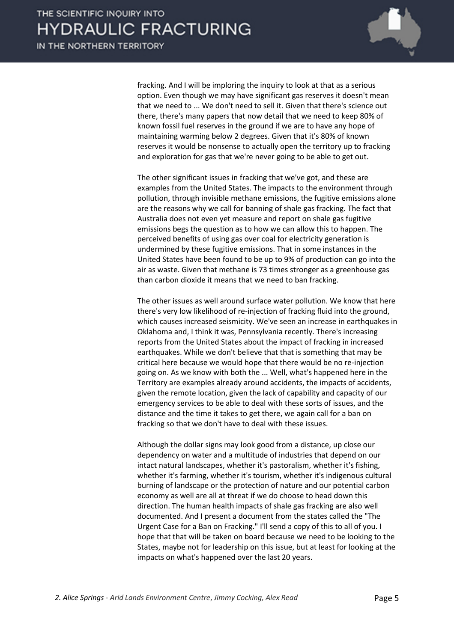

fracking. And I will be imploring the inquiry to look at that as a serious option. Even though we may have significant gas reserves it doesn't mean that we need to ... We don't need to sell it. Given that there's science out there, there's many papers that now detail that we need to keep 80% of known fossil fuel reserves in the ground if we are to have any hope of maintaining warming below 2 degrees. Given that it's 80% of known reserves it would be nonsense to actually open the territory up to fracking and exploration for gas that we're never going to be able to get out.

The other significant issues in fracking that we've got, and these are examples from the United States. The impacts to the environment through pollution, through invisible methane emissions, the fugitive emissions alone are the reasons why we call for banning of shale gas fracking. The fact that Australia does not even yet measure and report on shale gas fugitive emissions begs the question as to how we can allow this to happen. The perceived benefits of using gas over coal for electricity generation is undermined by these fugitive emissions. That in some instances in the United States have been found to be up to 9% of production can go into the air as waste. Given that methane is 73 times stronger as a greenhouse gas than carbon dioxide it means that we need to ban fracking.

The other issues as well around surface water pollution. We know that here there's very low likelihood of re-injection of fracking fluid into the ground, which causes increased seismicity. We've seen an increase in earthquakes in Oklahoma and, I think it was, Pennsylvania recently. There's increasing reports from the United States about the impact of fracking in increased earthquakes. While we don't believe that that is something that may be critical here because we would hope that there would be no re-injection going on. As we know with both the ... Well, what's happened here in the Territory are examples already around accidents, the impacts of accidents, given the remote location, given the lack of capability and capacity of our emergency services to be able to deal with these sorts of issues, and the distance and the time it takes to get there, we again call for a ban on fracking so that we don't have to deal with these issues.

Although the dollar signs may look good from a distance, up close our dependency on water and a multitude of industries that depend on our intact natural landscapes, whether it's pastoralism, whether it's fishing, whether it's farming, whether it's tourism, whether it's indigenous cultural burning of landscape or the protection of nature and our potential carbon economy as well are all at threat if we do choose to head down this direction. The human health impacts of shale gas fracking are also well documented. And I present a document from the states called the "The Urgent Case for a Ban on Fracking." I'll send a copy of this to all of you. I hope that that will be taken on board because we need to be looking to the States, maybe not for leadership on this issue, but at least for looking at the impacts on what's happened over the last 20 years.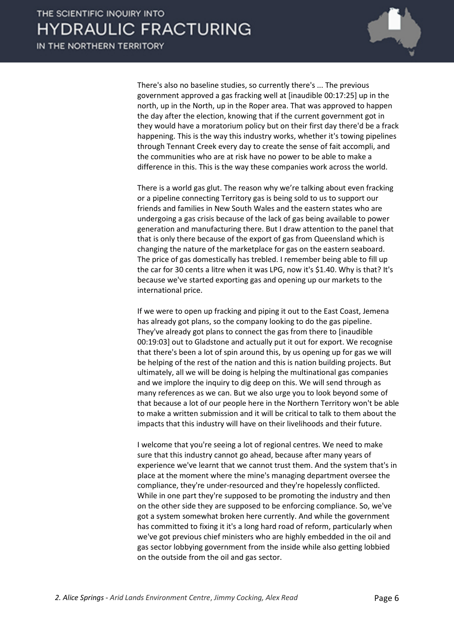

There's also no baseline studies, so currently there's ... The previous government approved a gas fracking well at [inaudible 00:17:25] up in the north, up in the North, up in the Roper area. That was approved to happen the day after the election, knowing that if the current government got in they would have a moratorium policy but on their first day there'd be a frack happening. This is the way this industry works, whether it's towing pipelines through Tennant Creek every day to create the sense of fait accompli, and the communities who are at risk have no power to be able to make a difference in this. This is the way these companies work across the world.

There is a world gas glut. The reason why we're talking about even fracking or a pipeline connecting Territory gas is being sold to us to support our friends and families in New South Wales and the eastern states who are undergoing a gas crisis because of the lack of gas being available to power generation and manufacturing there. But I draw attention to the panel that that is only there because of the export of gas from Queensland which is changing the nature of the marketplace for gas on the eastern seaboard. The price of gas domestically has trebled. I remember being able to fill up the car for 30 cents a litre when it was LPG, now it's \$1.40. Why is that? It's because we've started exporting gas and opening up our markets to the international price.

If we were to open up fracking and piping it out to the East Coast, Jemena has already got plans, so the company looking to do the gas pipeline. They've already got plans to connect the gas from there to [inaudible 00:19:03] out to Gladstone and actually put it out for export. We recognise that there's been a lot of spin around this, by us opening up for gas we will be helping of the rest of the nation and this is nation building projects. But ultimately, all we will be doing is helping the multinational gas companies and we implore the inquiry to dig deep on this. We will send through as many references as we can. But we also urge you to look beyond some of that because a lot of our people here in the Northern Territory won't be able to make a written submission and it will be critical to talk to them about the impacts that this industry will have on their livelihoods and their future.

I welcome that you're seeing a lot of regional centres. We need to make sure that this industry cannot go ahead, because after many years of experience we've learnt that we cannot trust them. And the system that's in place at the moment where the mine's managing department oversee the compliance, they're under-resourced and they're hopelessly conflicted. While in one part they're supposed to be promoting the industry and then on the other side they are supposed to be enforcing compliance. So, we've got a system somewhat broken here currently. And while the government has committed to fixing it it's a long hard road of reform, particularly when we've got previous chief ministers who are highly embedded in the oil and gas sector lobbying government from the inside while also getting lobbied on the outside from the oil and gas sector.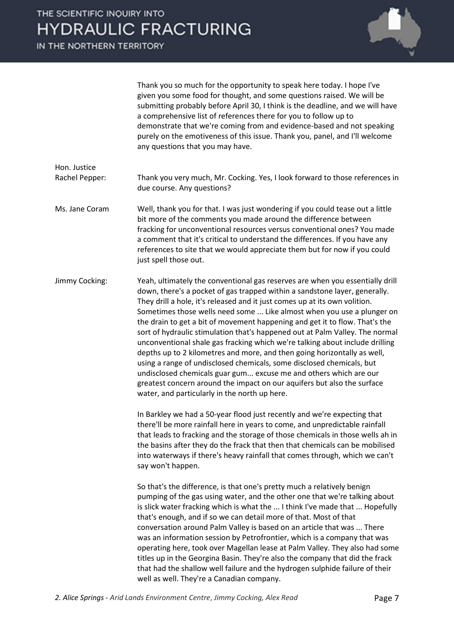

Thank you so much for the opportunity to speak here today. I hope I've given you some food for thought, and some questions raised. We will be submitting probably before April 30, I think is the deadline, and we will have a comprehensive list of references there for you to follow up to demonstrate that we're coming from and evidence-based and not speaking purely on the emotiveness of this issue. Thank you, panel, and I'll welcome any questions that you may have.

#### Hon. Justice Rachel Pepper: Thank you very much, Mr. Cocking. Yes, I look forward to those references in due course. Any questions?

Ms. Jane Coram Well, thank you for that. I was just wondering if you could tease out a little bit more of the comments you made around the difference between fracking for unconventional resources versus conventional ones? You made a comment that it's critical to understand the differences. If you have any references to site that we would appreciate them but for now if you could just spell those out.

Jimmy Cocking: Yeah, ultimately the conventional gas reserves are when you essentially drill down, there's a pocket of gas trapped within a sandstone layer, generally. They drill a hole, it's released and it just comes up at its own volition. Sometimes those wells need some ... Like almost when you use a plunger on the drain to get a bit of movement happening and get it to flow. That's the sort of hydraulic stimulation that's happened out at Palm Valley. The normal unconventional shale gas fracking which we're talking about include drilling depths up to 2 kilometres and more, and then going horizontally as well, using a range of undisclosed chemicals, some disclosed chemicals, but undisclosed chemicals guar gum... excuse me and others which are our greatest concern around the impact on our aquifers but also the surface water, and particularly in the north up here.

> In Barkley we had a 50-year flood just recently and we're expecting that there'll be more rainfall here in years to come, and unpredictable rainfall that leads to fracking and the storage of those chemicals in those wells ah in the basins after they do the frack that then that chemicals can be mobilised into waterways if there's heavy rainfall that comes through, which we can't say won't happen.

> So that's the difference, is that one's pretty much a relatively benign pumping of the gas using water, and the other one that we're talking about is slick water fracking which is what the ... I think I've made that ... Hopefully that's enough, and if so we can detail more of that. Most of that conversation around Palm Valley is based on an article that was ... There was an information session by Petrofrontier, which is a company that was operating here, took over Magellan lease at Palm Valley. They also had some titles up in the Georgina Basin. They're also the company that did the frack that had the shallow well failure and the hydrogen sulphide failure of their well as well. They're a Canadian company.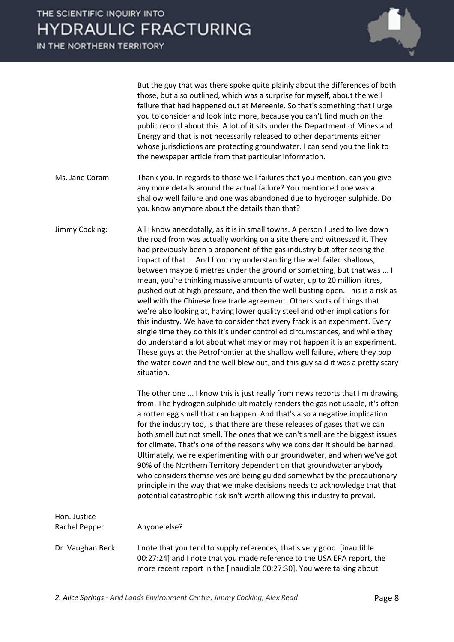

But the guy that was there spoke quite plainly about the differences of both those, but also outlined, which was a surprise for myself, about the well failure that had happened out at Mereenie. So that's something that I urge you to consider and look into more, because you can't find much on the public record about this. A lot of it sits under the Department of Mines and Energy and that is not necessarily released to other departments either whose jurisdictions are protecting groundwater. I can send you the link to the newspaper article from that particular information.

- Ms. Jane Coram Thank you. In regards to those well failures that you mention, can you give any more details around the actual failure? You mentioned one was a shallow well failure and one was abandoned due to hydrogen sulphide. Do you know anymore about the details than that?
- Jimmy Cocking: All I know anecdotally, as it is in small towns. A person I used to live down the road from was actually working on a site there and witnessed it. They had previously been a proponent of the gas industry but after seeing the impact of that ... And from my understanding the well failed shallows, between maybe 6 metres under the ground or something, but that was ... I mean, you're thinking massive amounts of water, up to 20 million litres, pushed out at high pressure, and then the well busting open. This is a risk as well with the Chinese free trade agreement. Others sorts of things that we're also looking at, having lower quality steel and other implications for this industry. We have to consider that every frack is an experiment. Every single time they do this it's under controlled circumstances, and while they do understand a lot about what may or may not happen it is an experiment. These guys at the Petrofrontier at the shallow well failure, where they pop the water down and the well blew out, and this guy said it was a pretty scary situation.

The other one ... I know this is just really from news reports that I'm drawing from. The hydrogen sulphide ultimately renders the gas not usable, it's often a rotten egg smell that can happen. And that's also a negative implication for the industry too, is that there are these releases of gases that we can both smell but not smell. The ones that we can't smell are the biggest issues for climate. That's one of the reasons why we consider it should be banned. Ultimately, we're experimenting with our groundwater, and when we've got 90% of the Northern Territory dependent on that groundwater anybody who considers themselves are being guided somewhat by the precautionary principle in the way that we make decisions needs to acknowledge that that potential catastrophic risk isn't worth allowing this industry to prevail.

| Hon. Justice<br>Rachel Pepper: | Anyone else?                                                                                                                                                                                                                  |
|--------------------------------|-------------------------------------------------------------------------------------------------------------------------------------------------------------------------------------------------------------------------------|
| Dr. Vaughan Beck:              | I note that you tend to supply references, that's very good. [inaudible]<br>00:27:24] and I note that you made reference to the USA EPA report, the<br>more recent report in the [inaudible 00:27:30]. You were talking about |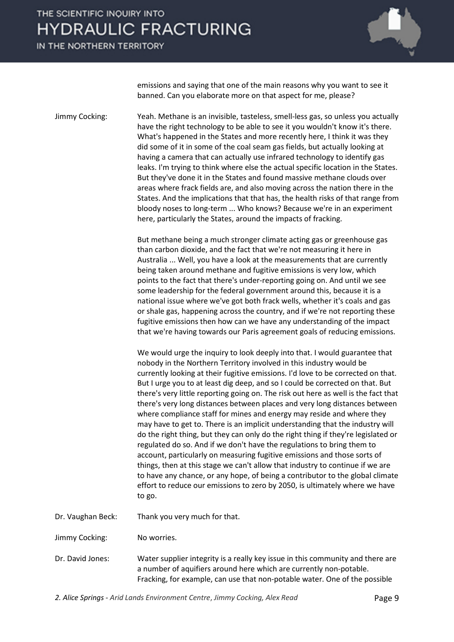## THE SCIENTIFIC INQUIRY INTO **HYDRAULIC FRACTURING**

IN THE NORTHERN TERRITORY



emissions and saying that one of the main reasons why you want to see it banned. Can you elaborate more on that aspect for me, please?

Jimmy Cocking: Yeah. Methane is an invisible, tasteless, smell-less gas, so unless you actually have the right technology to be able to see it you wouldn't know it's there. What's happened in the States and more recently here, I think it was they did some of it in some of the coal seam gas fields, but actually looking at having a camera that can actually use infrared technology to identify gas leaks. I'm trying to think where else the actual specific location in the States. But they've done it in the States and found massive methane clouds over areas where frack fields are, and also moving across the nation there in the States. And the implications that that has, the health risks of that range from bloody noses to long-term ... Who knows? Because we're in an experiment here, particularly the States, around the impacts of fracking.

> But methane being a much stronger climate acting gas or greenhouse gas than carbon dioxide, and the fact that we're not measuring it here in Australia ... Well, you have a look at the measurements that are currently being taken around methane and fugitive emissions is very low, which points to the fact that there's under-reporting going on. And until we see some leadership for the federal government around this, because it is a national issue where we've got both frack wells, whether it's coals and gas or shale gas, happening across the country, and if we're not reporting these fugitive emissions then how can we have any understanding of the impact that we're having towards our Paris agreement goals of reducing emissions.

We would urge the inquiry to look deeply into that. I would guarantee that nobody in the Northern Territory involved in this industry would be currently looking at their fugitive emissions. I'd love to be corrected on that. But I urge you to at least dig deep, and so I could be corrected on that. But there's very little reporting going on. The risk out here as well is the fact that there's very long distances between places and very long distances between where compliance staff for mines and energy may reside and where they may have to get to. There is an implicit understanding that the industry will do the right thing, but they can only do the right thing if they're legislated or regulated do so. And if we don't have the regulations to bring them to account, particularly on measuring fugitive emissions and those sorts of things, then at this stage we can't allow that industry to continue if we are to have any chance, or any hope, of being a contributor to the global climate effort to reduce our emissions to zero by 2050, is ultimately where we have to go.

Dr. Vaughan Beck: Thank you very much for that.

Jimmy Cocking: No worries.

Dr. David Jones: Water supplier integrity is a really key issue in this community and there are a number of aquifiers around here which are currently non-potable. Fracking, for example, can use that non-potable water. One of the possible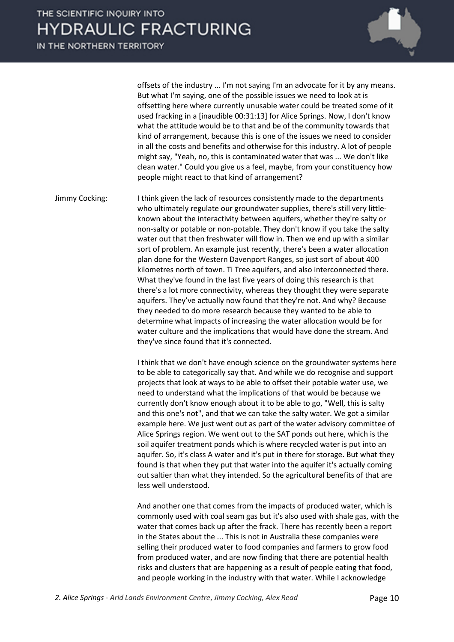

offsets of the industry ... I'm not saying I'm an advocate for it by any means. But what I'm saying, one of the possible issues we need to look at is offsetting here where currently unusable water could be treated some of it used fracking in a [inaudible 00:31:13] for Alice Springs. Now, I don't know what the attitude would be to that and be of the community towards that kind of arrangement, because this is one of the issues we need to consider in all the costs and benefits and otherwise for this industry. A lot of people might say, "Yeah, no, this is contaminated water that was ... We don't like clean water." Could you give us a feel, maybe, from your constituency how people might react to that kind of arrangement?

Jimmy Cocking: I think given the lack of resources consistently made to the departments who ultimately regulate our groundwater supplies, there's still very littleknown about the interactivity between aquifers, whether they're salty or non-salty or potable or non-potable. They don't know if you take the salty water out that then freshwater will flow in. Then we end up with a similar sort of problem. An example just recently, there's been a water allocation plan done for the Western Davenport Ranges, so just sort of about 400 kilometres north of town. Ti Tree aquifers, and also interconnected there. What they've found in the last five years of doing this research is that there's a lot more connectivity, whereas they thought they were separate aquifers. They've actually now found that they're not. And why? Because they needed to do more research because they wanted to be able to determine what impacts of increasing the water allocation would be for water culture and the implications that would have done the stream. And they've since found that it's connected.

> I think that we don't have enough science on the groundwater systems here to be able to categorically say that. And while we do recognise and support projects that look at ways to be able to offset their potable water use, we need to understand what the implications of that would be because we currently don't know enough about it to be able to go, "Well, this is salty and this one's not", and that we can take the salty water. We got a similar example here. We just went out as part of the water advisory committee of Alice Springs region. We went out to the SAT ponds out here, which is the soil aquifer treatment ponds which is where recycled water is put into an aquifer. So, it's class A water and it's put in there for storage. But what they found is that when they put that water into the aquifer it's actually coming out saltier than what they intended. So the agricultural benefits of that are less well understood.

> And another one that comes from the impacts of produced water, which is commonly used with coal seam gas but it's also used with shale gas, with the water that comes back up after the frack. There has recently been a report in the States about the ... This is not in Australia these companies were selling their produced water to food companies and farmers to grow food from produced water, and are now finding that there are potential health risks and clusters that are happening as a result of people eating that food, and people working in the industry with that water. While I acknowledge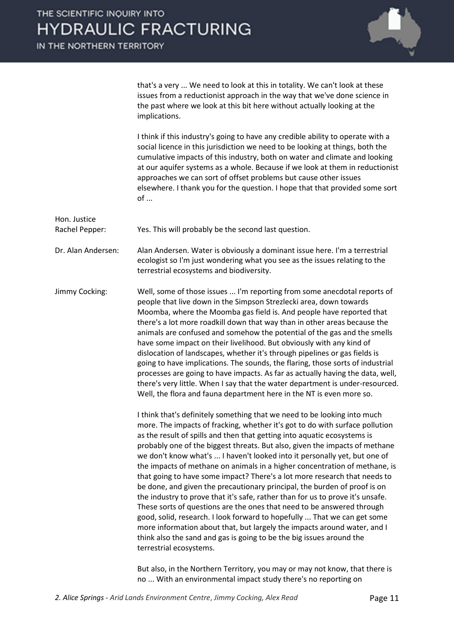

that's a very ... We need to look at this in totality. We can't look at these issues from a reductionist approach in the way that we've done science in the past where we look at this bit here without actually looking at the implications.

I think if this industry's going to have any credible ability to operate with a social licence in this jurisdiction we need to be looking at things, both the cumulative impacts of this industry, both on water and climate and looking at our aquifer systems as a whole. Because if we look at them in reductionist approaches we can sort of offset problems but cause other issues elsewhere. I thank you for the question. I hope that that provided some sort  $of \dots$ 

Hon. Justice Rachel Pepper: Yes. This will probably be the second last question. Dr. Alan Andersen: Alan Andersen. Water is obviously a dominant issue here. I'm a terrestrial ecologist so I'm just wondering what you see as the issues relating to the terrestrial ecosystems and biodiversity. Jimmy Cocking: Well, some of those issues ... I'm reporting from some anecdotal reports of people that live down in the Simpson Strezlecki area, down towards Moomba, where the Moomba gas field is. And people have reported that there's a lot more roadkill down that way than in other areas because the animals are confused and somehow the potential of the gas and the smells have some impact on their livelihood. But obviously with any kind of dislocation of landscapes, whether it's through pipelines or gas fields is going to have implications. The sounds, the flaring, those sorts of industrial processes are going to have impacts. As far as actually having the data, well, there's very little. When I say that the water department is under-resourced.

> I think that's definitely something that we need to be looking into much more. The impacts of fracking, whether it's got to do with surface pollution as the result of spills and then that getting into aquatic ecosystems is probably one of the biggest threats. But also, given the impacts of methane we don't know what's ... I haven't looked into it personally yet, but one of the impacts of methane on animals in a higher concentration of methane, is that going to have some impact? There's a lot more research that needs to be done, and given the precautionary principal, the burden of proof is on the industry to prove that it's safe, rather than for us to prove it's unsafe. These sorts of questions are the ones that need to be answered through good, solid, research. I look forward to hopefully ... That we can get some more information about that, but largely the impacts around water, and I think also the sand and gas is going to be the big issues around the terrestrial ecosystems.

Well, the flora and fauna department here in the NT is even more so.

But also, in the Northern Territory, you may or may not know, that there is no ... With an environmental impact study there's no reporting on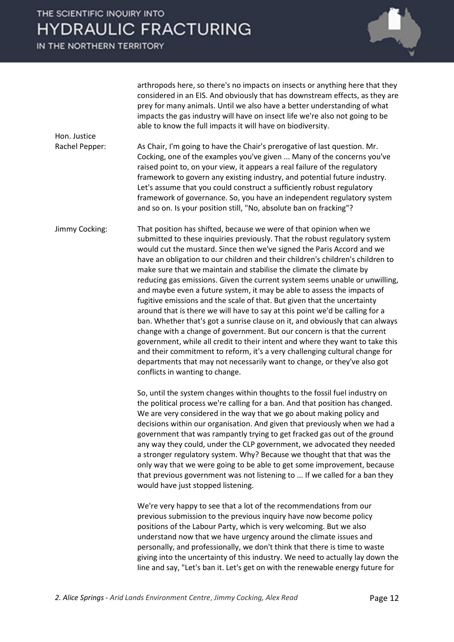### THE SCIENTIFIC INQUIRY INTO **HYDRAULIC FRACTURING**

IN THE NORTHERN TERRITORY

Hon. Justice



arthropods here, so there's no impacts on insects or anything here that they considered in an EIS. And obviously that has downstream effects, as they are prey for many animals. Until we also have a better understanding of what impacts the gas industry will have on insect life we're also not going to be able to know the full impacts it will have on biodiversity.

Rachel Pepper: As Chair, I'm going to have the Chair's prerogative of last question. Mr. Cocking, one of the examples you've given ... Many of the concerns you've raised point to, on your view, it appears a real failure of the regulatory framework to govern any existing industry, and potential future industry. Let's assume that you could construct a sufficiently robust regulatory framework of governance. So, you have an independent regulatory system and so on. Is your position still, "No, absolute ban on fracking"?

Jimmy Cocking: That position has shifted, because we were of that opinion when we submitted to these inquiries previously. That the robust regulatory system would cut the mustard. Since then we've signed the Paris Accord and we have an obligation to our children and their children's children's children to make sure that we maintain and stabilise the climate the climate by reducing gas emissions. Given the current system seems unable or unwilling, and maybe even a future system, it may be able to assess the impacts of fugitive emissions and the scale of that. But given that the uncertainty around that is there we will have to say at this point we'd be calling for a ban. Whether that's got a sunrise clause on it, and obviously that can always change with a change of government. But our concern is that the current government, while all credit to their intent and where they want to take this and their commitment to reform, it's a very challenging cultural change for departments that may not necessarily want to change, or they've also got conflicts in wanting to change.

> So, until the system changes within thoughts to the fossil fuel industry on the political process we're calling for a ban. And that position has changed. We are very considered in the way that we go about making policy and decisions within our organisation. And given that previously when we had a government that was rampantly trying to get fracked gas out of the ground any way they could, under the CLP government, we advocated they needed a stronger regulatory system. Why? Because we thought that that was the only way that we were going to be able to get some improvement, because that previous government was not listening to ... If we called for a ban they would have just stopped listening.

We're very happy to see that a lot of the recommendations from our previous submission to the previous inquiry have now become policy positions of the Labour Party, which is very welcoming. But we also understand now that we have urgency around the climate issues and personally, and professionally, we don't think that there is time to waste giving into the uncertainty of this industry. We need to actually lay down the line and say, "Let's ban it. Let's get on with the renewable energy future for